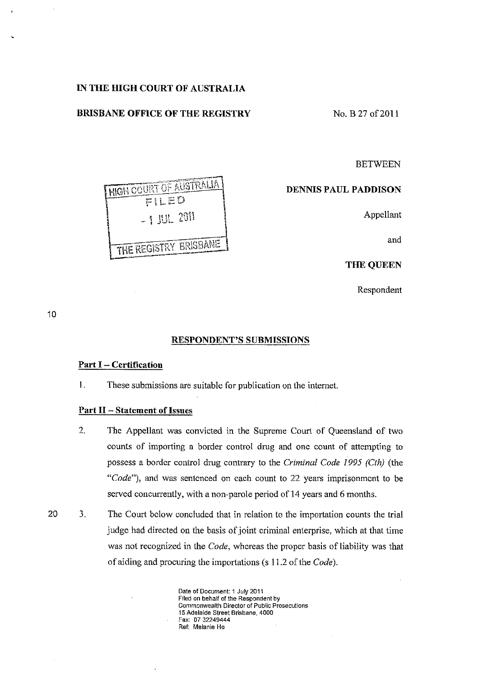# **IN THE HIGH COURT OF AUSTRALIA**

# **BRISBANE OFFICE OF THE REGISTRY** No. B 27 of 2011

 $\frac{H\left( G\right) H\left( G\right) G\left( H\right) }{F\left( L\to D\right) }$ 

**THE REGISTRY BRISBANE** 

**BETWEEN** 

# **DENNIS PAUL PADDlSON**

~. i t'l! *"W'!' \* <sup>I</sup>~U'- L'J ! Appellant

and

THE QUEEN

Respondent

10

# **RESPONDENT'S SUBMrSSIONS**

## **Part I - Certification**

1. These submissions are suitable for publication on the internet.

# **Part 11 - Statement of Issues**

- 2. The Appellant was convicted in the Supreme Court of Queensland of two counts of importing a border control drug and one count of attempting to possess a border control drug contrary to the *Criminal Code* 1995 *(Cth)* (the *"Code"),* and was sentenced on each count to 22 years imprisonment to be served concurrently, with a non-parole period of 14 years and 6 months.
- 3. The Court below concluded that in relation to the importation counts the trial judge had directed on the basis of joint criminal enterprise, which at that time was not recognized in the *Code,* whereas the proper basis of liability was that of aiding and procuring the importations (s 11.2 of the *Code).*

**Date of Document: 1 July 2011 Filed on behalf of the Respondent by Commonwealth Director of Public Prosecutions 15 Adelaide Street Brisbane, 4000**  Fax: 07 32249444 **Ref: Melanie Ho**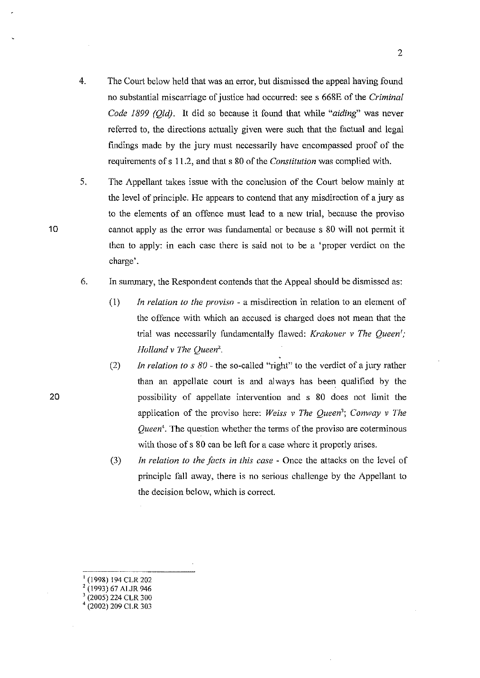- 4. The Court below held that was an error, but dismissed the appeal having found no substantial miscarriage of justice had occurred: see s 668E of the *Criminal Code* 1899 *(Qld).* It did so because it found that while *"aiding"* was never referred to, the directions actually given were such that the factual and legal findings made by the jury must necessarily have encompassed proof of the requirements of s 11.2, and that s 80 of the *Constitution* was complied with.
- 5. The Appellant takes issue with the conclusion of the Court below mainly at the level of principle. He appears to contcnd that any misdirection of a jury as to the elements of an offence must lead to a new trial, because the proviso cannot apply as the error was fundamental or because s 80 will not permit it then to apply: in each case there is said not to be a 'proper verdict on the charge'.
- 6. In sununary, the Respondent contends that the Appeal should be dismissed as:
	- (1) *In relation to the proviso*  a misdirection in relation to an element of the offence with which an accused is charged does not mean that the trial was necessarily fundamentally flawed: *Krakouer v The Queen'*; *Holland* v *The Queen'.*
	- (2) *In relation to s* 80 the so-called "right" to the verdict of a jury rather than an appellate court is and always has been qualified by the possibility of appellate intervention and s 80 does not limit the application of the proviso here: *Weiss* v *The Queen'; Conway* v *The Queen'.* The question whether the terms of the proviso are coterminous with those of s 80 can be left for a case where it properly arises.
	- *(3) In relation to the facts in this case*  Once the attacks on the level of principle fall away, there is no serious challenge by the Appellant to the decision bclow, which is correct.

(1998) 194 CLR 202

10

20

- , (1993) 67 ALJR 946
- 3 (2005) 224 CLR 300
- '(2002) 209 CLR 303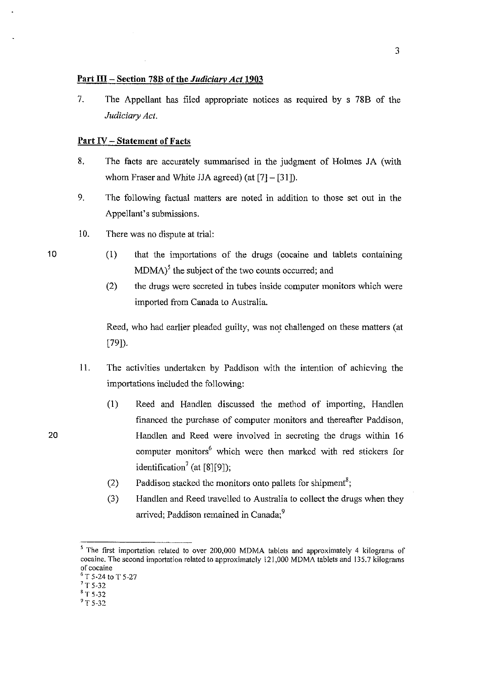### Part III - Section 78B of the *Judiciarv Act* 1903

7. The Appellant has filed appropriate notices as required by s 78B of the *Judiciary Act.* 

# **Part IV - Statement of Facts**

- 8. The facts are accurately summarised in the judgment of Holmes JA (with whom Fraser and White JJA agreed) (at  $[7] - [31]$ ).
- 9. The following factual matters are noted in addition to those set out in the Appellant's submissions.
- 10. There was no dispute at trial:
	- (1) that the importations of the drugs (cocaine and tablets containing  $MDMA$ <sup>5</sup> the subject of the two counts occurred; and
	- (2) the drugs were secreted in tubes inside computer monitors which were imported from Canada to Australia.

Reed, who had earlier pleaded guilty, was not challenged on these matters (at [79]).

- 11. The activities undertaken by Paddison with the intention of achieving the importations included the following:
	- (1) Reed and Handlen discussed the method of importing, Handlen financed the purchase of computer monitors and thereafter Paddison, Handlen and Reed were involved in secreting the drugs within 16 computer monitors<sup>6</sup> which were then marked with red stickers for identification<sup>7</sup> (at [8][9]);
	- (2) Paddison stacked the monitors onto pallets for shipment<sup>8</sup>;
	- (3) Handlen and Reed travelled to Australia to collect the drugs when they arrived; Paddison remained in Canada;<sup>9</sup>

10

<sup>&</sup>lt;sup>5</sup> The first importation related to over 200,000 MDMA tablets and approximately 4 kilograms of cocaine. The second importation related to approximately 121,000 MDMA tablets and 135.7 kilograms **of cocaine** 

 $^6$  T 5-24 to T 5-27

 $7$  T 5-32

 $8$  T 5-32

 $\mathrm{^{9}T}$  5-32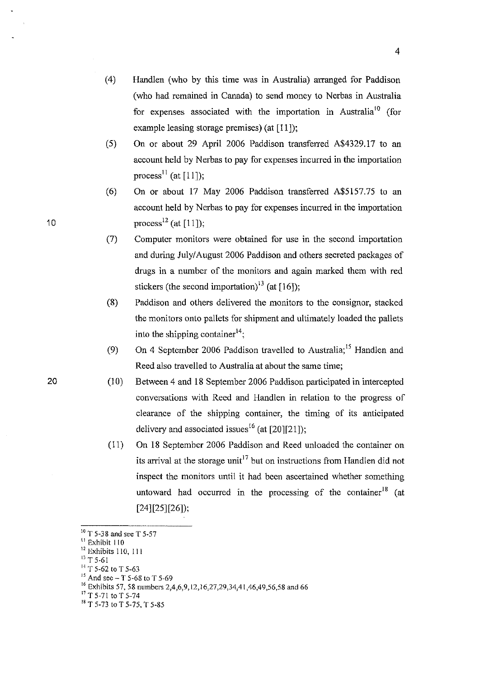- (4) Handlen (who by this time was in Australia) arranged for Paddison (who had remained in Canada) to send money to Nerbas in Australia for expenses associated with the importation in Australia<sup>10</sup> (for example leasing storage premises) (at [11]);
- (5) On or about 29 April 2006 Paddison transferred A\$4329.17 to an account held by Nerbas to pay for expenses incurred in the importation process<sup> $11$ </sup> (at [11]);
- (6) On or about 17 May 2006 Paddison transferred A\$5157.75 to an account held by Nerbas to pay for expenses incurred in the importation process<sup>12</sup> (at [11]);
- (7) Computer monitors were obtained for use in the second importation and during July/August 2006 Paddison and others secreted packages of drugs in a number of the monitors and again marked them with red stickers (the second importation)<sup>13</sup> (at  $[16]$ );
- (8) Paddison and others delivered the monitors to the consignor, stacked the monitors onto pallets for shipment and ultimately loaded the pallets into the shipping container  $\mathfrak{t}^1$
- (9) On 4 September 2006 Paddison travelled to Australia;<sup>15</sup> Handlen and Reed also travelled to Australia at about the same time;
- (10) Between 4 and 18 September 2006 Paddison participated in intercepted conversations with Reed and Handlen in relation to the progress of clearance of the shipping container, the timing of its anticipated delivery and associated issues<sup>16</sup> (at [20][21]);
- (11) On 18 September 2006 Paddison and Reed unloaded the container on its arrival at the storage unit<sup>17</sup> but on instructions from Handlen did not inspect the monitors until it had been ascertained whether something untoward had occurred in the processing of the container<sup>18</sup> (at [24][25][26]);

- $13$  T 5-61
- <sup>14</sup> T 5-62 to T 5-63
- $^{15}$  And sec T 5-68 to T 5-69

10

 $^{10}$  T 5-38 and see T 5-57

<sup>&</sup>lt;sup>11</sup> Exhibit 110

<sup>&</sup>lt;sup>12</sup> Exhibits 110, 111

<sup>&</sup>lt;sup>16</sup> Exhibits 57, 58 numbers 2,4,6,9,12,16,27,29,34,41,46,49,56,58 and 66

<sup>&</sup>lt;sup>17</sup> T 5-71 to T 5-74

<sup>&</sup>lt;sup>18</sup> T 5-73 to T 5-75, T 5-85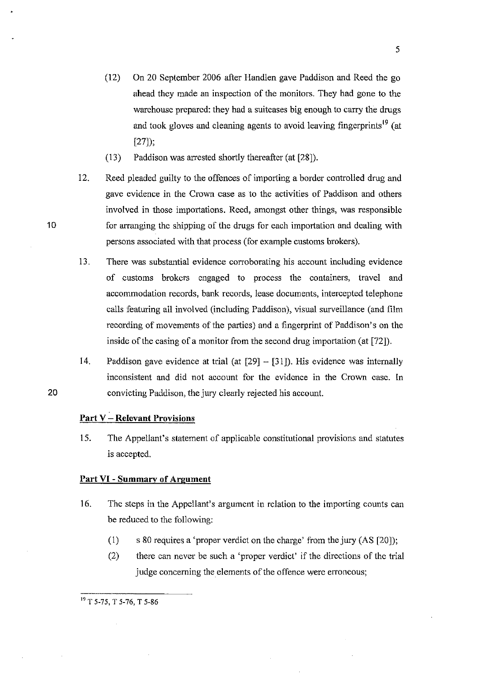- (12) On 20 September 2006 after Handlen gave Paddison and Reed the go ahead they made an inspection of the monitors. They had gone to the warehouse prepared: they had a suitcases big enough to carry the drugs and took gloves and cleaning agents to avoid leaving fingerprints<sup>19</sup> (at [27]);
- (13) Paddison was arrested shortly thereafter (at [28]).
- 12. Reed pleaded guilty to the offences of importing a border controlled drug and gave evidence in the Crown case as to the activities of Paddison and others involved in those importations. Reed, amongst other things, was responsible for arranging the shipping of the drugs for each importation and dealing with persons associated with that process (for example customs brokers).
- 13. There was substantial evidence corroborating his account inclnding evidence of customs brokers engaged to process the containers, travel and accommodation records, bank records, lease documents, intercepted telephone calls featuring all involved (including Paddison), visnal surveillance (and film recording of movements of the parties) and a fingerprint of Paddison's on the inside of the casing of a monitor from the second drug importation (at [72]).
- 14. Paddison gave evidence at trial (at  $[29] [31]$ ). His evidence was internally inconsistent and did not account for the evidence in the Crown case. In 20 convicting Paddison, the jury clearly rejected his account.

# **Part V - Relevant Provisions**

15. The Appellant's statement of applicable constitutional provisions and statutes is accepted.

#### **Part VI - Summary of Argument**

- 16. The steps in the Appellant's argument in relation to the importing counts can be reduced to the following:
	- (1) s 80 requires a 'proper verdict on the charge' from the jury (AS [20]);
	- (2) there can never be such a 'proper verdict' if the directions of the trial judge concerning the elements of the offence were erroneous;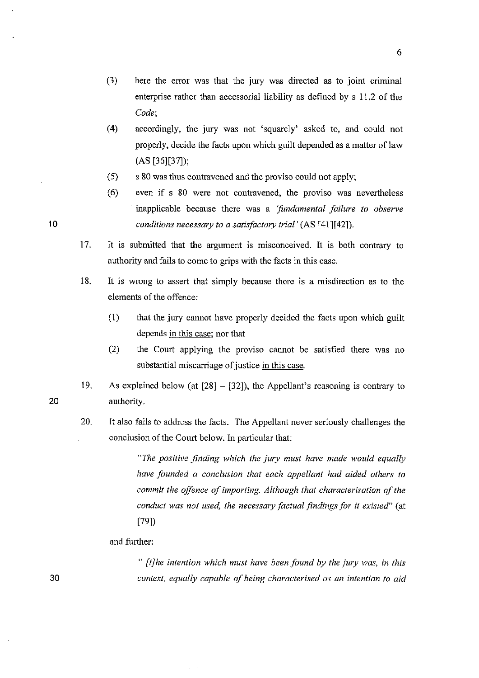- (3) here the error was that the jury was directed as to joint criminal enterprise rather than acccssorial liability as defined by s 11.2 of the *Code;*
- (4) accordingly, the jury was not 'squarely' asked to, and could not properly, decide the facts upon which guilt depended as a matter of law  $(AS [36][37]);$
- (5) s 80 was thus contravened and the proviso could not apply;
- (6) even if s 80 were not contravened, the proviso was nevertheless inapplicable because there was a *'fundamental failure to observe conditions necessary to a satisfactory trial'* (AS [41][42]).
- 17. It is submitted that the argument is misconceived. It is both contrary to authority and fails to come to grips with the facts in this case.
- 18. It is wrong to assert that simply because there is a misdirection as to the elements of the offence:
	- Cl) that the jury cannot have properly decided the facts upon which guilt depends in this case; nor that
	- $(2)$  the Court applying the proviso cannot be satisfied there was no substantial miscarriage of justice in this case.
- 19. As explained below (at  $[28] - [32]$ ), the Appellant's reasoning is contrary to authority.
- 20. It also fails to address the facts. The Appellant never seriously challenges the conclusion of the Court below. **In** particular that:

*"The positive finding which the jury must have made would equally have founded a conclusion that each appellant had aided others to commit the offince of importing. Although that characterisation of the conduct was not used, the necessmy factual findings for* it *existed"* (at [79])

### and further:

*" [tJhe intention which must have been found by the jury was, in this context, equally capable of being characterised as an intention to aid* 

20

30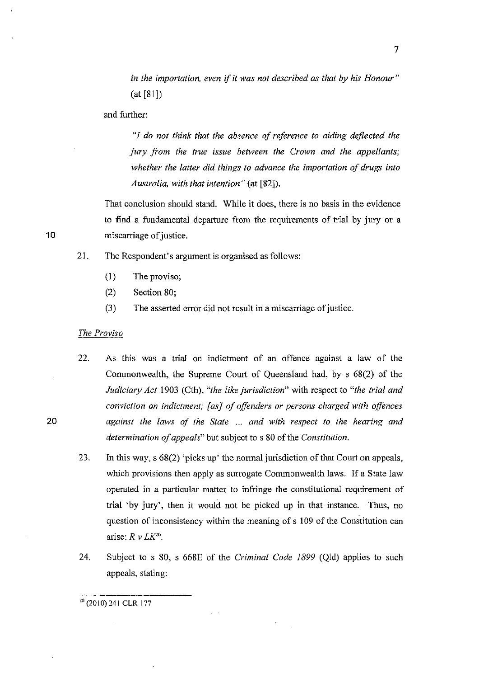*in the importation, even* if *it was not described as that by his Honour"*  (at [81])

and further:

*"1 do not think that the absence of reference to aiding deflected the jury from the true issue between the Crown and the appellants; whether the latter did things to advance the importation of drugs into Australia, with that intention"* (at [82]).

That conclusion should stand. While it does, there is no basis in the evidence to find a fundamental departurc from the requirements of trial by jury or a miscarriage of justice.

- 21. The Respondent's argument is organised as follows:
	- (I) The proviso;
	- (2) Section 80;
	- (3) The asserted error did not result in a miscarriage of justice.

#### *The Proviso*

22. As this was a trial on indictment of an offence against a law of the Commonwealth, the Supreme Court of Queensland had, by s 68(2) of the *Judiciary Act* 1903 (Cth), *"the like jurisdiction"* with respect to *"the trial and conviction on indictment; [as] of offenders or persons charged with offences*  against the laws of the State ... and with respect to the hearing and *determination of appeals"* but subject to s 80 of the *Constitution.* 

- 23. In this way, s 68(2) 'picks up' the normal jurisdiction of that Court on appeals, which provisions then apply as surrogate Commonwealth laws. If a State law operated in a particular matter to infringe the constitutional requirement of trial 'by jury', then it would not be picked up in that instance. Thus, no question of inconsistency within the meaning of s 109 of the Constitution can arise:  $R \nu LK^{20}$ .
- 24. Subject to s 80, s 668E of the *Criminal Code 1899* (Qld) applies to such appeals, stating:

10

20

#### 20 (2010) 241 CLR 177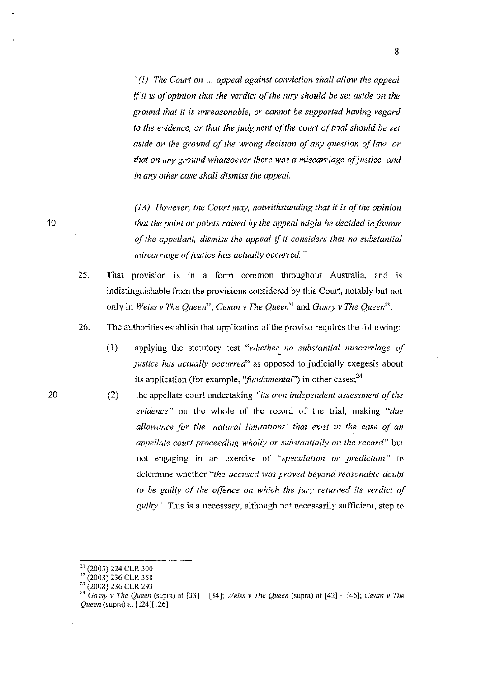"(I) *The Court on* ... *appeal against conviction shall allow the appeal if it is of opinion that the verdict of the jury should be set aside on the ground that it is unreasonable, or cannot be supported having regard*  to the evidence, or that the judgment of the court of trial should be set *aside on (he ground of the wrong decision of any question of law, or that on any ground whatsoever there was a miscarriage of justice, and in any other case shall dismiss the appeal.* 

*(lA) However, the Court may, notwithstanding that* it is *of the opinion that the point or points raised by the appeal might be decided in favour of the appellant, dismiss the appeal if* it *considers that no substantial miscarriage of justice has actually occurred. "* 

- 25. That provision is in a fonn common throughout Australia, and is indistinguishable from the provisions considered by this Court, notably but not only in *Weiss* v *The Queen", Cesan* v *The Queen"* and *Gassy* v *The Queen".*
- 26. The authorities establish that application of the proviso requires the following:
	- (1) applying the statutory test *"whether\_ no substantial miscarriage uf justice has actually occurred"* as opposed to judicially exegesis about its application (for example, "*fundamental*") in other cases;<sup>24</sup>
	- (2) the appellate court undertaking *"its own independent assessment of the evidence"* on the whole of the record of the trial, making *"due allowance for the 'natural limitations' that exist in the case of an appellate court proceeding wholly or substantially on the record"* but not engaging in an exercise of *"speculation or prediction"* to determine whether "the accused was proved beyond reasonable doubt *to be guilty of the offence on which the jury returned its verdict of guilty".* This is a necessary, although not necessarily sufficient, step to

<sup>21 (2005) 224</sup> CLR 300

 $^{22}$  (2008) 236 CLR 358

 $23$  (2008) 236 CLR 293

<sup>&</sup>lt;sup>24</sup> Gassy v The Queen (supra) at [33] - [34]; *Weiss v The Queen* (supra) at [42] - [46]; *Cesan v The Queen* (supra) at [124][ 126]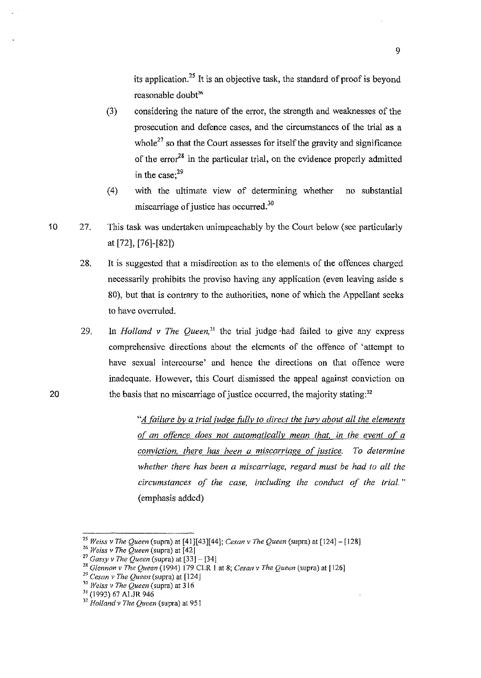its application.<sup>25</sup> It is an objective task, the standard of proof is beyond reasonable doubt<sup>26</sup>

- (3) considering the nature of the error, the strength and weaknesses of the prosecution and defence cases, and the circumstances of the trial as a whole<sup>27</sup> so that the Court assesses for itself the gravity and significance of the error<sup>28</sup> in the particular trial, on the evidence properly admitted in the case; $^{29}$
- (4) with the ultimate view of determining whether no substantial miscarriage of justice has occurred. $30$
- 27. This task was undertaken unimpeachably by the Court below (see particularly at [72], [76]-[82])
	- 28. It is suggested that a misdirection as to the elements of the offences charged necessarily prohibits the proviso having any application (even leaving aside s 80), but that is contrary to the authorities, none of which the Appellant seeks to have overruled.
	- 29. In *Holland v The Queen*,<sup>31</sup> the trial judge had failed to give any express comprehensive dircctions about the elements of the offence of 'attempt to have sexual intercourse' and hence the directions on that offence were inadequate. However, this Court dismissed the appeal against conviction on the basis that no miscarriage of justice occurred, the majority stating: $32$

*A failure by a trial judge fully to direct the jury about all the elements of an offence does not automatically mean that. in the event of a conviction, there has been a miscarriage of justice. To determine whether there has been a miscarriage, regard must be had to all the circumstances of the case, including the conduct of the Irial."*  (emphasis added)

10

<sup>&</sup>lt;sup>25</sup> Weiss v The Queen (supra) at [41][43][44]; *Cesan v The Queen* (supra) at [124] – [128]

*<sup>26</sup> Weiss v The Queen* (supra) at [42J

<sup>27</sup>*Gassy* v *The Queen* (supra) at (33]- [34J

*<sup>&</sup>quot;Glennon v The Queen* (1994) 179 CLR I at 8; *Cesan v The Queen* (supra) at [126]

<sup>&</sup>lt;sup>29</sup> Cesan *v* The Queen (supra) at [124]

*<sup>10</sup> Weiss v The Queen* (supra) at 316

<sup>31 (1993) 67</sup> ALJR 946

<sup>32</sup> *Holland* v *The Queen* (supra) at 951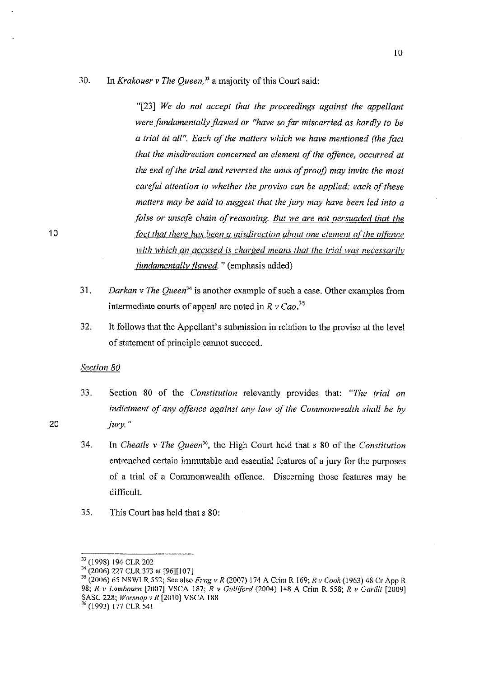# 30. In *Krakouer v The Queen*,<sup>33</sup> a majority of this Court said:

*"[23] We do not accept that the proceedings against the appellant were fundamentally flawed or "have so far miscarried as hardly to be a trial at all". Each of the matters which we have mentioned (the fact that the misdirection concerned an element of the offence, occurred at the end of the trial and reversed the onus of proof) may invite the most careful attention to whether the proviso can be applied; each of these matters may be said to suggest that the jury may have been led into a false or unsqfe chain of reasoning. But we are not persuaded that the fact that there has been a misdirection about one element of the offence with which an accused is charged means that the trial was necessarilv fundamentally flawed.* " (emphasis added)

- 31 . *Darkan* v *The Queen"* is another example of such a case. Other examples from intermediate courts of appeal arc noted in  $R \nu Cao$ <sup>35</sup>
- 32. It follows that the Appellant's submission in relation to the proviso at the level of statement of principle cannot succeed.

### *Section 80*

- 33. Section 80 of the *Constitution* relevantly provides that: *"The trial on indictment of any qffimce against any law of the Commonwealth shall be by jury.*
- 34. In *Cheatle v The Queen",* the High Court held that s 80 of the *Constitution*  entrenched certain immutable and essential features of a jury for the purposes of a trial of a Commonwealth offence. Discerning those features may be difficult.
- 35. This Court bas held that s 80:

10

<sup>33 (1998) 194</sup> CLR 202

<sup>&</sup>lt;sup>34</sup> (2006) 227 CLR 373 at [96][107]

*<sup>)</sup>S* (2006) 65 NSWLR 552; See also *FUllg v R* (2007) 174 A Crim R 169; *R v Cook* (1963) 48 Cr App R *98; R v Lambourn* [2007] VSCA 187; *R v Gulliford* (2004) 148 A Crim R 558; *R* v *Gm·illi [2009]*  SASC 228; *Worsnop* v *R* [2010] VSCA 188 36 (1993) 177 CLR 541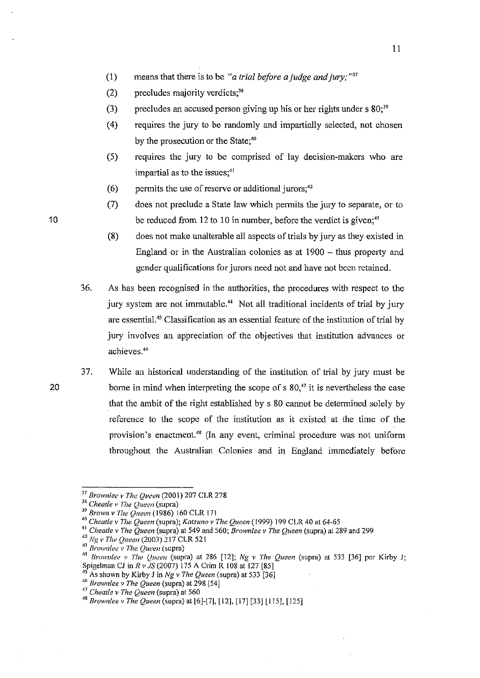- (1) means that there is to be "*a trial before a judge and jury*; "<sup>37</sup>
- $(2)$  precludes majority verdicts;<sup>38</sup>
- (3) precludes an accused person giving up his or her rights under  $s 80$ ;<sup>39</sup>
- (4) requires the jury to be randomly and impartially selected, not chosen by the prosecution or the State;<sup>40</sup>
- (5) requircs the jury to be comprised of lay decision-makers who are impartial as to the issues;<sup>41</sup>
- (6) permits the use of reserve or additional jurors;<sup>42</sup>
- (7) does not preclude a State law which permits the jury to separate, or to be reduced from  $12$  to  $10$  in number, before the verdict is given;<sup>43</sup>
- (8) does not make unalterable all aspects of trials by jury as they existed in England or in the Australian colonies as at  $1900 -$  thus property and gender qualifications for jurors need not and have not been retained.
- 36. As has been recognised in the authorities, the procedures with respect to the jury system are not immutable.<sup>44</sup> Not all traditional incidents of trial by jury are essential." Classification as an essential feature of the institution of trial by jury involves an appreciation of the objectives that institution advances or achieves. <sup>46</sup>
- 37. While an historical understanding of the institution of trial by jury must be borne in mind when interpreting the scope of s  $80<sup>47</sup>$  it is nevertheless the case that the ambit of the right established by s 80 cannot be determined solely by reference to the scope of the institution as it existed at the time of the provision's enactment.<sup>48</sup> (In any event, criminal procedure was not uniform throughout the Australian Colonies and in England immediately before

45 As shown by Kirby J in *Ng* v *The Queen* (supra) at 533 [36]

10

<sup>&</sup>lt;sup>37</sup> Brownlee v The Queen (2001) 207 CLR 278

<sup>&</sup>lt;sup>38</sup> Cheatle *v The Queen* (supra)

J9 *Brown* v *lite ()ueen* (1986) 160 CLR 17 I

<sup>&</sup>lt;sup>40</sup> Cheatle v The Queen (supra); *Katsuno v The Queen* (1999) 199 CLR 40 at 64-65

<sup>41</sup>*Cheatle* v *The Queen* (supra) at 549 and 560; *Brownlee* v *The Queen* (supra) at 289 and 299

<sup>&</sup>lt;sup>42</sup> Ng v The Queen (2003)<sup>2</sup>17 CLR 521

<sup>&</sup>lt;sup>43</sup> *Brownlee v The Queen* (supra)

<sup>&</sup>lt;sup>44</sup> Brownlee v The Queen (supra) at 286 [12]; Ng v The Queen (supra) at 533 [36] per Kirby J; Spigelman CJ in *R v JS* (2007) 175 A Crim R 108 at 127 [85]

<sup>46</sup>*Brownlee* v *The Queen* (supra) at 298 [54]

<sup>47</sup>*Cheatle* v *The Queen* (supra) at 560

<sup>&</sup>lt;sup>48</sup> Brownlee v The Queen (supra) at [6]-[7], [12], [17] [33] [115], [125]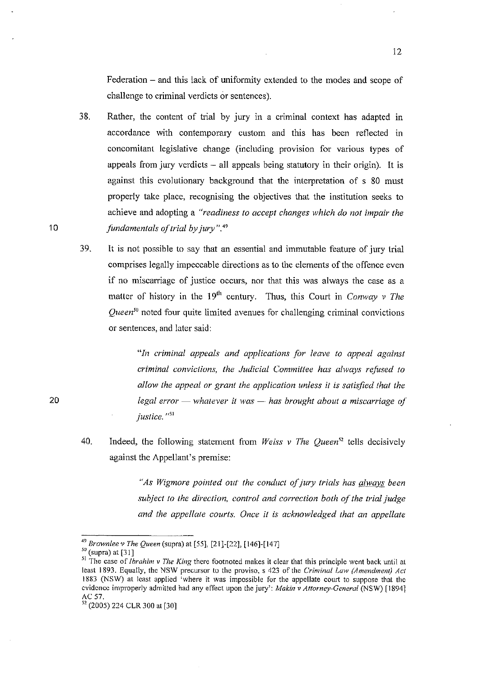Federation – and this lack of uniformity extended to the modes and scope of challenge to criminal verdicts or sentences).

- 38. Rather, the content of trial by jury in a criminal context has adapted in accordance with contemporary custom and this has been reflected in concomitant legislative change (including provision for various types of appeals from jury verdicts  $-$  all appeals being statutory in their origin). It is against this evolutionary background that the interpretation of s 80 must properly take place, recognising the objectives that the institution seeks to achieve and adopting a *"readiness to accept changes which do not impair the fundamentals of trial by jury".* <sup>49</sup>
- 39. It is not possible to say that an essential and immutable feature of jury trial comprises legally impeccable directions as to the elements of the offence even if no miscarriage of justice occurs, nor that this was always the case as a matter of history in the 19<sup>th</sup> century. Thus, this Court in *Conway v The Queen'"* noted four quite limited avenues for challenging criminal convictions or sentences, and later said:

*"In criminal appeals and applications for leave to appeal against criminal convictions, the Judicial Committee has always refused* 10 *allow the appeal or grant the application unless* it *is satisfied that the legal error* - *whatever* it *was* \_. *has brought about a miscarriage of justice*  $\frac{351}{25}$ 

40. Indeed, the following statement from *Weiss v The Queen*<sup>52</sup> tells decisively against the Appellant's premise:

> *"As Wigmore pointed oul' the conduct of jury trials has always been subject to the direction, control and correction both of the trial judge and the appellate courts. Once it is acknowledged that an appellate*

20

<sup>49</sup>*Brownleev The Queen* (supra) at [55], [21]-[22], [146]-[147]

 $<sup>50</sup>$  (supra) at [31]</sup>

**<sup>51</sup> The case of** *Ibrahim* **v** *The King* **there footnoted makes it clear that this principle went back until at**  least 1893. Equally, the NSW precursor to the proviso, s 423 of the *Criminal Law (Amendment) Act* 1883 (NSW) at least applied 'where it was impossible for the appellate court to suppose that the evidence improperly admitted had any effect upon the jury': *Makin v Attorney-General* (NSW) [1894] AC 57.

<sup>52 (2005) 224</sup> CLR 300 at [30]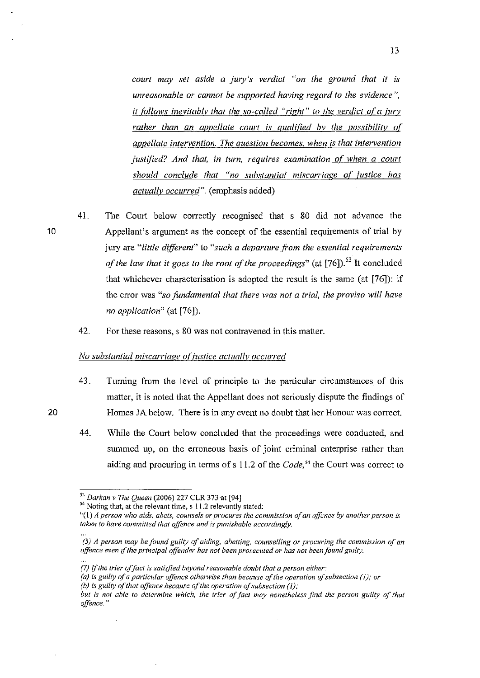*court may sel aside a jury's verdict "on (he ground that* it is *unreasonable or cannot be supported having regard to the evidence* ", it follows inevitably that the so-called "right" to the verdict of a jury rather than an appellate court is qualified by the possibility of *appellate intervention. The auestion becomes. when is that intervention*  justified? And that, in turn, requires examination of when a court *shollld conclude that "no substantial miscarriage of justice has actually occurred".* (emphasis added)

- 41. The Court below correctly recognised that s 80 did not advance the Appellant's argument as the concept of the essential requirements of trial by jury are "little different" to "such a departure from the essential requirements *of the law that it goes to the root of the proceedings*" (at [76]).<sup>53</sup> It concluded that whichever characterisation is adopted the result is the same (at [76]): if the error was "so fundamental that there was not a trial, the proviso will have *no application"* (at [76]).
	- 42. For these reasons, s 80 was not contravened in this matter.

#### *No substantial miscarriage of justice actually occurred*

- 43. Turning from the level of principle to the particular circumstances of this matter, it is noted that the Appellant does not seriously dispute the findings of Homes JA below. There is in any event no doubt that her Honour was correct.
- 44. While the Court below concluded that the proceedings were conducted, and summed up, on the erroneous basis of joint criminal enterprise rather than aiding and procuring in terms of s 11.2 of the *Code*,<sup>54</sup> the Court was correct to

20

<sup>&</sup>lt;sup>53</sup> Darkan v The Oueen (2006) 227 CLR 373 at [94]

**<sup>54</sup> Noting that, at the relevant time, s 11.2 relevantly stated:** 

*<sup>&</sup>quot;(1) A person who aids, abets, counsels or procures the commission a/an offence by another person is taken to have committed that offence and is punishable accordingly.* 

*<sup>(5)</sup> A person may be found* **S:.,TUilty** *of aiding, abetting. counselling or procuring the commission of an offence even* **if** *the principal qffender has not been prosecuted or has not been found gUilty.* 

**<sup>(7)</sup>** If *the trier offact is satisfied beyond reasonable doubt that a person either:* 

*<sup>(</sup>a) is guilty of a particular offence otherwise than because of the operation of subsection* **(/);** *or* 

*<sup>(</sup>b) is guilty of that qfJence because of the operation afsubsection* (I);

*but is not able to determine which, the trier of fact may nonetheless fInd the person guilty of that offence. "*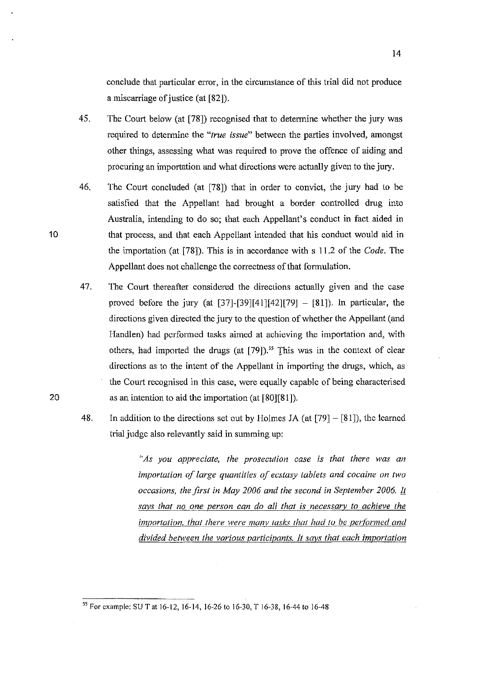conclude that particular error, in the circumstance of this trial did not produce a miscarriage of justice (at [82]).

- 45. The Court below (at [78]) recognised that to determine whether the jury was required to determine the *"true issue"* between the parties involved, amongst other things, assessing what was required to prove the offence of aiding and procuring an importation and what directions were actually given to the jury.
- 46. The Court concluded (at [78]) that in order to convict, (he jury had (0 be satisficd that the Appellant had brought a border controlled drug into Australia, intending to do so; that each Appellant's conduct in fact aided in that process, and that each Appellant intended that his conduct would aid in the importation (at [78]). This is in accordance with s 11.2 of the *Code.* The Appellant does not challenge the correctness of that formulation.

10

20

- 47. The Court thereafter considered the directions actually given and the case proved before the jury (at  $[37]-[39][41][42][79] - [81]$ ). In particular, the directions given directed the jury to the question of whether the Appellant (and Handlen) had performed tasks aimed at achieving the importation and, with others, had imported the drugs (at [79]).<sup>55</sup> This was in the context of clear directions as to the intent of the Appellant in importing the drugs, which, as the Court recognised in this case, were equally capable of being characterised as an intention to aid the importation (at [80][81]).
- 48. In addition to the directions set out by Holmes JA (at  $[79] [81]$ ), the learned trial judge also relevantly said in summing up:

*"As you appreciate, the prosecution case is that there was an importation of large quantities of ecstasy tablets and cocaine on two occasions, the first in May 2006 and the second in September 2006. I1 says that no one person can do all that is necessary to achieve the importation, that there were many tasks that had to be performed and divided between the various participants. It says that each importation* 

<sup>&</sup>lt;sup>55</sup> For example: SU T at 16-12, 16-14, 16-26 to 16-30, T 16-38, 16-44 to 16-48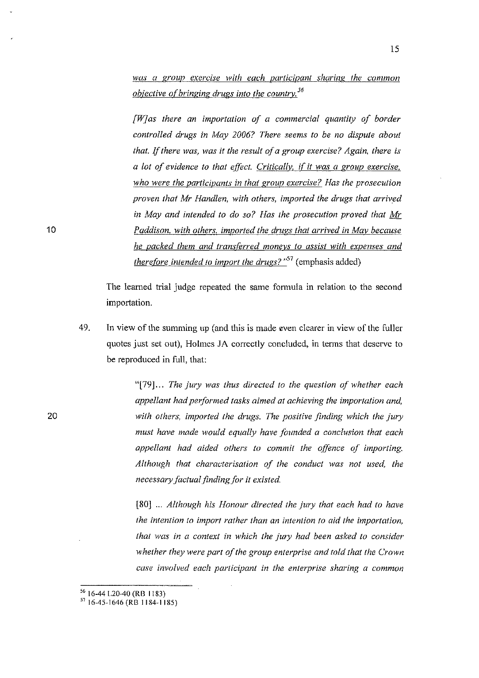was a group exercise with each participant sharing the common *objective o[bringing drugs into the countrv. <sup>56</sup>*

*[WJas there an importation of a commercial quantity of border controlled drugs in May 2006? There seems to be no dispute about that.* If *there was, was* it *the result of a group exercise? Again, there is a lot of evidence to that effect. Critically, if it was a group exercise. who were the oarticipants in that group exercise? Has the prosecution proven that Mr Hand/en, with others, imported the drugs that arrived in May and intended to do so? Has the prosecution proved that Mr Paddison. with others. imported the drugs that arrived in Mav because he packed them and transterred moneys to assist with expenses and therefore intended to import the drugs?* "<sup>57</sup> (emphasis added)

The leamed trial judge repeated the same formula in relation to the second importation.

49. In view of the summing up (and this is made even clearer in view of the fuller quotes just set out), Holmes JA correctly concluded, in terms that deserve to be reproduced in full, that:

> "[79]... *The jury was thus directed to the question of whether each appellant had performed tasks aimed at achieving the importation and, with others, imported the drugs. The positive finding which the jury must have made would equally have founded a conclusion that each appellant had aided others to commit the offence of importing. Although that characterisation of the conduct was not used, the necessary factualfinding for* it *existed.*

> [80) ... *Although his Honour directed the jury that each had to have the intention to import rather than an intention* 10 *aid the importation, that was in a context in which the jury had been asked to consider whether they were part of the group enterprise and told that the Crown case involved each participant in the enterprise sharing a common*

 $56$  16-44 1.20-40 (RB 1183)

 $^{57}$  16-45-1646 (RB 1184-1185)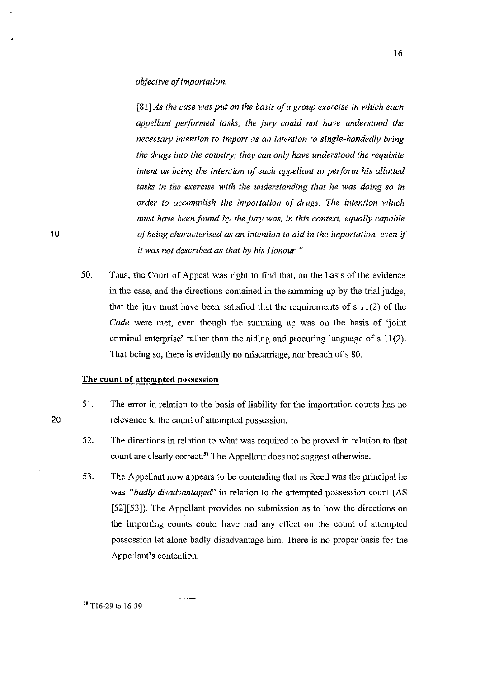*objective of importation.* 

*[81] As the case was put on the basis ofa group exercise in which each appellant performed tasks, the jury could not have understood the necessary intention to import as an intention to single-handedly bring the drugs into the country; they can only have understood (he requisite intent as being the intention of each appellant to perform his allotted tasks in the exercise with the understanding that he was doing so* in *order to accomplish the importation of drugs. The intention which must have been found by the jury was, in this context, equally capable of being characterised as an intention to aid in the importation, even* if if *was not described as that by his Honour. "* 

50. Thus, the Court of Appeal was right to find that, on the basis of the evidence in the case, and the directions contained in the summing up by the trial judge, that the jury must have been satisfied that the requirements of s 11(2) of the *Code* were met, even though the summing up was on the basis of 'joint criminal enterprise' rather than the aiding and procuring language of  $s$  11(2). That being so, there is evidently no miscarriage, nor breach of s 80.

#### **The count of attempted possession**

- 51. The error in relation to the basis of liability for the importation counts has no relevance to the count of attempted possession.
- 52. The directions in relation to what was required to be proved in relation to that count are clearly correct.<sup>58</sup> The Appellant does not suggest otherwise.
- 53. The Appellant now appears to be contending that as Reed was the principal he was *"badly disadvantaged"* in relation to the attempted possession count (AS [52][53]). The Appellant provides no submission as to how the directions on the importing counts could have had any effect on the count of attempted possession let alone badly disadvantage him. There is no proper basis for the Appcllant's contention.

<sup>&</sup>lt;sup>58</sup> T16-29 to 16-39